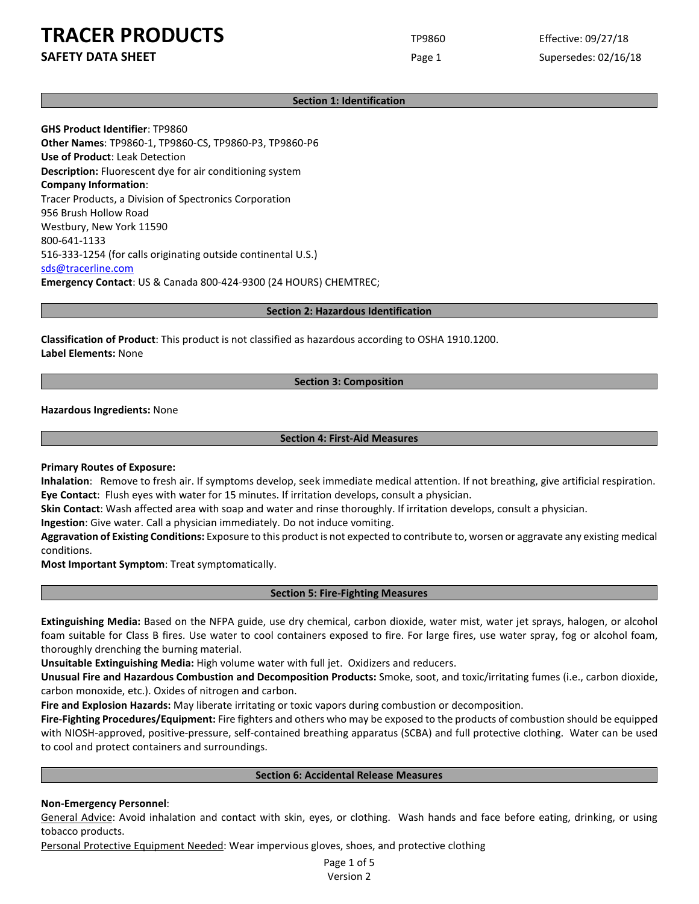**SAFETY DATA SHEET** SUPERFOUR CONSUMING THE Page 1 Supersedes: 02/16/18

## **Section 1: Identification**

**GHS Product Identifier**: TP9860 **Other Names**: TP9860-1, TP9860-CS, TP9860-P3, TP9860-P6 **Use of Product**: Leak Detection **Description:** Fluorescent dye for air conditioning system **Company Information**: Tracer Products, a Division of Spectronics Corporation 956 Brush Hollow Road Westbury, New York 11590 800-641-1133 516-333-1254 (for calls originating outside continental U.S.) [sds@tracerline.com](mailto:sds@tracerline.com) **Emergency Contact**: US & Canada 800-424-9300 (24 HOURS) CHEMTREC;

**Section 2: Hazardous Identification**

**Classification of Product**: This product is not classified as hazardous according to OSHA 1910.1200. **Label Elements:** None

#### **Section 3: Composition**

**Hazardous Ingredients:** None

#### **Section 4: First-Aid Measures**

**Primary Routes of Exposure:**

**Inhalation**: Remove to fresh air. If symptoms develop, seek immediate medical attention. If not breathing, give artificial respiration. **Eye Contact**: Flush eyes with water for 15 minutes. If irritation develops, consult a physician.

**Skin Contact**: Wash affected area with soap and water and rinse thoroughly. If irritation develops, consult a physician.

**Ingestion**: Give water. Call a physician immediately. Do not induce vomiting.

**Aggravation of Existing Conditions:** Exposure to this product is not expected to contribute to, worsen or aggravate any existing medical conditions.

**Most Important Symptom**: Treat symptomatically.

#### **Section 5: Fire-Fighting Measures**

**Extinguishing Media:** Based on the NFPA guide, use dry chemical, carbon dioxide, water mist, water jet sprays, halogen, or alcohol foam suitable for Class B fires. Use water to cool containers exposed to fire. For large fires, use water spray, fog or alcohol foam, thoroughly drenching the burning material.

**Unsuitable Extinguishing Media:** High volume water with full jet. Oxidizers and reducers.

**Unusual Fire and Hazardous Combustion and Decomposition Products:** Smoke, soot, and toxic/irritating fumes (i.e., carbon dioxide, carbon monoxide, etc.). Oxides of nitrogen and carbon.

**Fire and Explosion Hazards:** May liberate irritating or toxic vapors during combustion or decomposition.

**Fire-Fighting Procedures/Equipment:** Fire fighters and others who may be exposed to the products of combustion should be equipped with NIOSH-approved, positive-pressure, self-contained breathing apparatus (SCBA) and full protective clothing. Water can be used to cool and protect containers and surroundings.

#### **Section 6: Accidental Release Measures**

## **Non-Emergency Personnel**:

General Advice: Avoid inhalation and contact with skin, eyes, or clothing. Wash hands and face before eating, drinking, or using tobacco products.

Personal Protective Equipment Needed: Wear impervious gloves, shoes, and protective clothing

Page 1 of 5 Version 2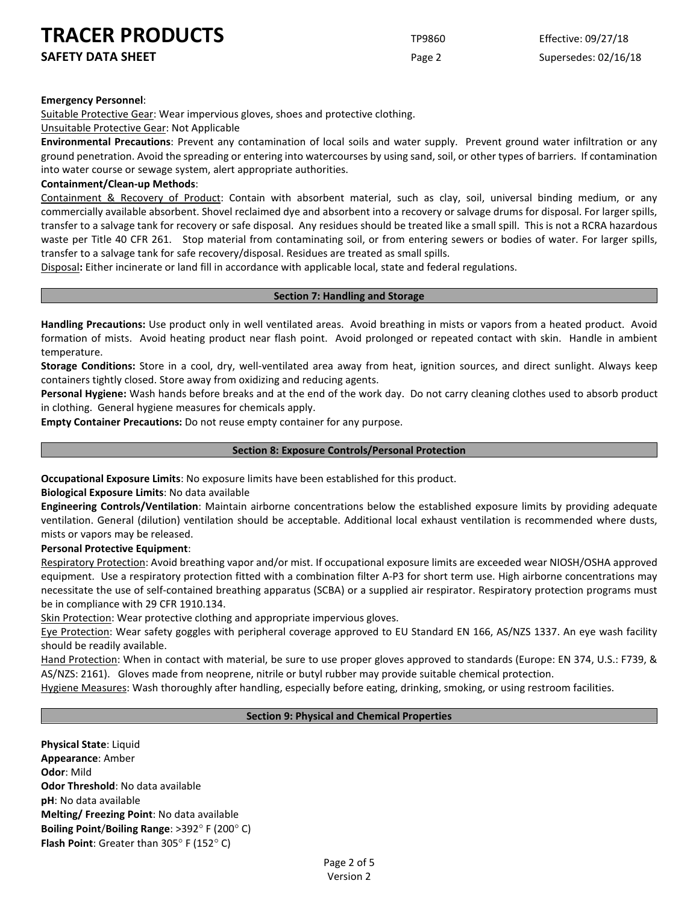**SAFETY DATA SHEET** SUPERFOUR CONSUMING THE Page 2 Supersedes: 02/16/18

#### **Emergency Personnel**:

Suitable Protective Gear: Wear impervious gloves, shoes and protective clothing.

#### Unsuitable Protective Gear: Not Applicable

**Environmental Precautions**: Prevent any contamination of local soils and water supply. Prevent ground water infiltration or any ground penetration. Avoid the spreading or entering into watercourses by using sand, soil, or other types of barriers. If contamination into water course or sewage system, alert appropriate authorities.

#### **Containment/Clean-up Methods**:

Containment & Recovery of Product: Contain with absorbent material, such as clay, soil, universal binding medium, or any commercially available absorbent. Shovel reclaimed dye and absorbent into a recovery or salvage drums for disposal. For larger spills, transfer to a salvage tank for recovery or safe disposal. Any residues should be treated like a small spill. This is not a RCRA hazardous waste per Title 40 CFR 261. Stop material from contaminating soil, or from entering sewers or bodies of water. For larger spills, transfer to a salvage tank for safe recovery/disposal. Residues are treated as small spills.

Disposal**:** Either incinerate or land fill in accordance with applicable local, state and federal regulations.

## **Section 7: Handling and Storage**

**Handling Precautions:** Use product only in well ventilated areas. Avoid breathing in mists or vapors from a heated product. Avoid formation of mists. Avoid heating product near flash point. Avoid prolonged or repeated contact with skin. Handle in ambient temperature.

**Storage Conditions:** Store in a cool, dry, well-ventilated area away from heat, ignition sources, and direct sunlight. Always keep containers tightly closed. Store away from oxidizing and reducing agents.

**Personal Hygiene:** Wash hands before breaks and at the end of the work day. Do not carry cleaning clothes used to absorb product in clothing. General hygiene measures for chemicals apply.

**Empty Container Precautions:** Do not reuse empty container for any purpose.

#### **Section 8: Exposure Controls/Personal Protection**

**Occupational Exposure Limits**: No exposure limits have been established for this product.

**Biological Exposure Limits**: No data available

**Engineering Controls/Ventilation**: Maintain airborne concentrations below the established exposure limits by providing adequate ventilation. General (dilution) ventilation should be acceptable. Additional local exhaust ventilation is recommended where dusts, mists or vapors may be released.

#### **Personal Protective Equipment**:

Respiratory Protection: Avoid breathing vapor and/or mist. If occupational exposure limits are exceeded wear NIOSH/OSHA approved equipment. Use a respiratory protection fitted with a combination filter A-P3 for short term use. High airborne concentrations may necessitate the use of self-contained breathing apparatus (SCBA) or a supplied air respirator. Respiratory protection programs must be in compliance with 29 CFR 1910.134.

Skin Protection: Wear protective clothing and appropriate impervious gloves.

Eye Protection: Wear safety goggles with peripheral coverage approved to EU Standard EN 166, AS/NZS 1337. An eye wash facility should be readily available.

Hand Protection: When in contact with material, be sure to use proper gloves approved to standards (Europe: EN 374, U.S.: F739, & AS/NZS: 2161). Gloves made from neoprene, nitrile or butyl rubber may provide suitable chemical protection.

Hygiene Measures: Wash thoroughly after handling, especially before eating, drinking, smoking, or using restroom facilities.

## **Section 9: Physical and Chemical Properties**

**Physical State**: Liquid **Appearance**: Amber **Odor**: Mild **Odor Threshold**: No data available **pH**: No data available **Melting/ Freezing Point**: No data available **Boiling Point**/**Boiling Range**: >392° F (200° C) **Flash Point**: Greater than 305° F (152° C)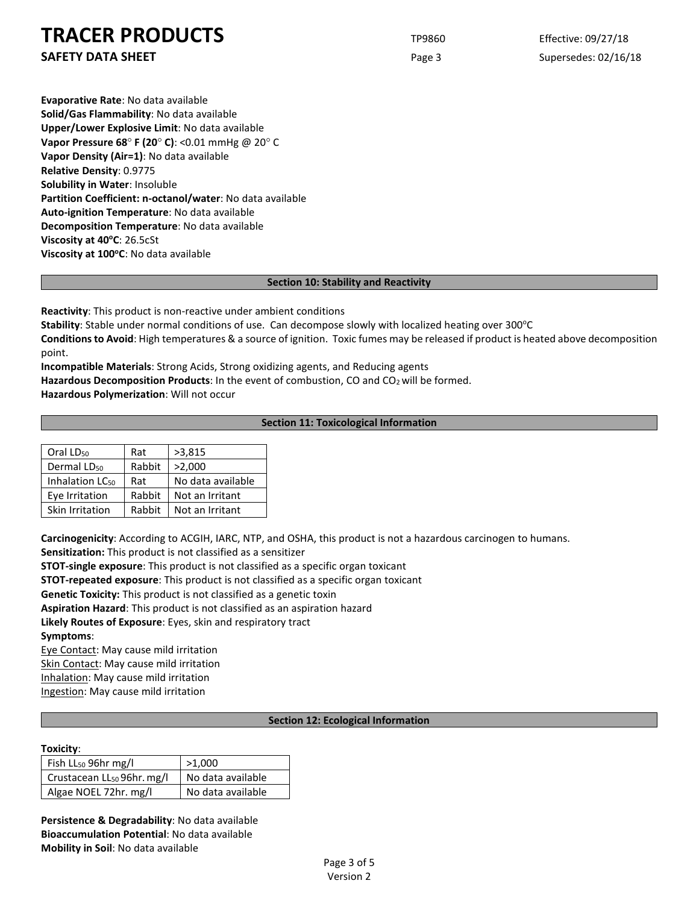**SAFETY DATA SHEET** SUPERFOUR Page 3 Supersedes: 02/16/18

**Evaporative Rate**: No data available **Solid/Gas Flammability**: No data available **Upper/Lower Explosive Limit**: No data available **Vapor Pressure 68**° **F (20**° **C)**: <0.01 mmHg @ 20° C **Vapor Density (Air=1)**: No data available **Relative Density**: 0.9775 **Solubility in Water**: Insoluble **Partition Coefficient: n-octanol/water**: No data available **Auto-ignition Temperature**: No data available **Decomposition Temperature**: No data available **Viscosity at 40°C: 26.5cSt** Viscosity at 100°C: No data available

## **Section 10: Stability and Reactivity**

**Reactivity**: This product is non-reactive under ambient conditions

Stability: Stable under normal conditions of use. Can decompose slowly with localized heating over 300°C

**Conditions to Avoid**: High temperatures & a source of ignition. Toxic fumes may be released if product is heated above decomposition point.

**Incompatible Materials**: Strong Acids, Strong oxidizing agents, and Reducing agents

Hazardous Decomposition Products: In the event of combustion, CO and CO<sub>2</sub> will be formed.

**Hazardous Polymerization**: Will not occur

## **Section 11: Toxicological Information**

| Oral LD <sub>50</sub>       | Rat    | >3,815            |  |
|-----------------------------|--------|-------------------|--|
| Dermal LD <sub>50</sub>     | Rabbit | >2,000            |  |
| Inhalation LC <sub>50</sub> | Rat    | No data available |  |
| Eye Irritation              | Rabbit | Not an Irritant   |  |
| Skin Irritation             | Rabbit | Not an Irritant   |  |

**Carcinogenicity**: According to ACGIH, IARC, NTP, and OSHA, this product is not a hazardous carcinogen to humans.

**Sensitization:** This product is not classified as a sensitizer

**STOT-single exposure**: This product is not classified as a specific organ toxicant

**STOT-repeated exposure**: This product is not classified as a specific organ toxicant

**Genetic Toxicity:** This product is not classified as a genetic toxin

**Aspiration Hazard**: This product is not classified as an aspiration hazard

**Likely Routes of Exposure**: Eyes, skin and respiratory tract **Symptoms**:

Eye Contact: May cause mild irritation Skin Contact: May cause mild irritation Inhalation: May cause mild irritation Ingestion: May cause mild irritation

## **Section 12: Ecological Information**

## **Toxicity**:

| Fish LL <sub>50</sub> 96hr mg/l        | >1,000            |  |
|----------------------------------------|-------------------|--|
| Crustacean LL <sub>50</sub> 96hr. mg/l | No data available |  |
| Algae NOEL 72hr. mg/l                  | No data available |  |

**Persistence & Degradability**: No data available **Bioaccumulation Potential**: No data available **Mobility in Soil**: No data available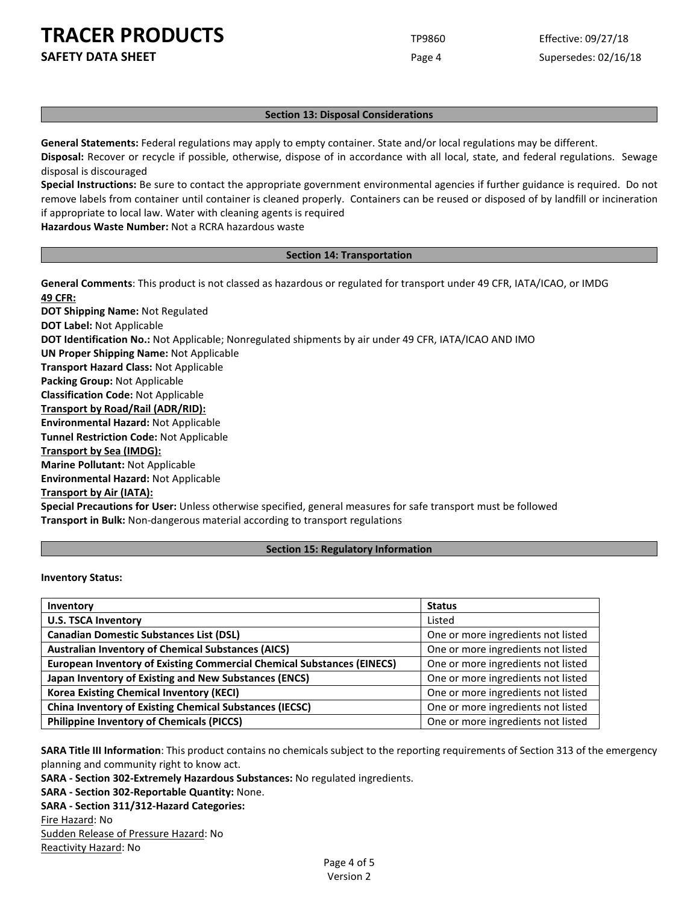**SAFETY DATA SHEET** SUPERFOUR SAFET ASSEMBLY 2000 For the Page 4 Supersedes: 02/16/18

#### **Section 13: Disposal Considerations**

**General Statements:** Federal regulations may apply to empty container. State and/or local regulations may be different. **Disposal:** Recover or recycle if possible, otherwise, dispose of in accordance with all local, state, and federal regulations. Sewage disposal is discouraged

**Special Instructions:** Be sure to contact the appropriate government environmental agencies if further guidance is required. Do not remove labels from container until container is cleaned properly. Containers can be reused or disposed of by landfill or incineration if appropriate to local law. Water with cleaning agents is required

**Hazardous Waste Number:** Not a RCRA hazardous waste

#### **Section 14: Transportation**

**General Comments**: This product is not classed as hazardous or regulated for transport under 49 CFR, IATA/ICAO, or IMDG **49 CFR:**

**DOT Shipping Name:** Not Regulated **DOT Label:** Not Applicable **DOT Identification No.:** Not Applicable; Nonregulated shipments by air under 49 CFR, IATA/ICAO AND IMO **UN Proper Shipping Name:** Not Applicable **Transport Hazard Class:** Not Applicable **Packing Group:** Not Applicable **Classification Code:** Not Applicable **Transport by Road/Rail (ADR/RID): Environmental Hazard:** Not Applicable **Tunnel Restriction Code:** Not Applicable **Transport by Sea (IMDG): Marine Pollutant:** Not Applicable **Environmental Hazard:** Not Applicable **Transport by Air (IATA): Special Precautions for User:** Unless otherwise specified, general measures for safe transport must be followed **Transport in Bulk:** Non-dangerous material according to transport regulations

#### **Section 15: Regulatory Information**

**Inventory Status:** 

| Inventory                                                                     | <b>Status</b>                      |
|-------------------------------------------------------------------------------|------------------------------------|
| <b>U.S. TSCA Inventory</b>                                                    | Listed                             |
| <b>Canadian Domestic Substances List (DSL)</b>                                | One or more ingredients not listed |
| <b>Australian Inventory of Chemical Substances (AICS)</b>                     | One or more ingredients not listed |
| <b>European Inventory of Existing Commercial Chemical Substances (EINECS)</b> | One or more ingredients not listed |
| Japan Inventory of Existing and New Substances (ENCS)                         | One or more ingredients not listed |
| <b>Korea Existing Chemical Inventory (KECI)</b>                               | One or more ingredients not listed |
| <b>China Inventory of Existing Chemical Substances (IECSC)</b>                | One or more ingredients not listed |
| <b>Philippine Inventory of Chemicals (PICCS)</b>                              | One or more ingredients not listed |

**SARA Title III Information**: This product contains no chemicals subject to the reporting requirements of Section 313 of the emergency planning and community right to know act.

**SARA - Section 302-Extremely Hazardous Substances:** No regulated ingredients.

**SARA - Section 302-Reportable Quantity:** None.

**SARA - Section 311/312-Hazard Categories:**

#### Fire Hazard: No

Sudden Release of Pressure Hazard: No

Reactivity Hazard: No